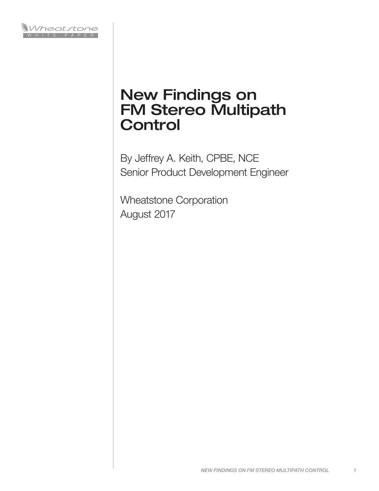

# New Findings on FM Stereo Multipath **Control**

By Jeffrey A. Keith, CPBE, NCE Senior Product Development Engineer

Wheatstone Corporation August 2017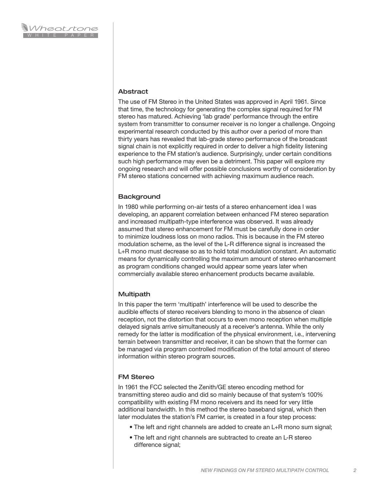#### Abstract

The use of FM Stereo in the United States was approved in April 1961. Since that time, the technology for generating the complex signal required for FM stereo has matured. Achieving 'lab grade' performance through the entire system from transmitter to consumer receiver is no longer a challenge. Ongoing experimental research conducted by this author over a period of more than thirty years has revealed that lab-grade stereo performance of the broadcast signal chain is not explicitly required in order to deliver a high fidelity listening experience to the FM station's audience. Surprisingly, under certain conditions such high performance may even be a detriment. This paper will explore my ongoing research and will offer possible conclusions worthy of consideration by FM stereo stations concerned with achieving maximum audience reach.

#### **Background**

In 1980 while performing on-air tests of a stereo enhancement idea I was developing, an apparent correlation between enhanced FM stereo separation and increased multipath-type interference was observed. It was already assumed that stereo enhancement for FM must be carefully done in order to minimize loudness loss on mono radios. This is because in the FM stereo modulation scheme, as the level of the L-R difference signal is increased the L+R mono must decrease so as to hold total modulation constant. An automatic means for dynamically controlling the maximum amount of stereo enhancement as program conditions changed would appear some years later when commercially available stereo enhancement products became available.

## Multipath

In this paper the term 'multipath' interference will be used to describe the audible effects of stereo receivers blending to mono in the absence of clean reception, not the distortion that occurs to even mono reception when multiple delayed signals arrive simultaneously at a receiver's antenna. While the only remedy for the latter is modification of the physical environment, i.e., intervening terrain between transmitter and receiver, it can be shown that the former can be managed via program controlled modification of the total amount of stereo information within stereo program sources.

## FM Stereo

In 1961 the FCC selected the Zenith/GE stereo encoding method for transmitting stereo audio and did so mainly because of that system's 100% compatibility with existing FM mono receivers and its need for very little additional bandwidth. In this method the stereo baseband signal, which then later modulates the station's FM carrier, is created in a four step process:

- The left and right channels are added to create an L+R mono sum signal;
- The left and right channels are subtracted to create an L-R stereo difference signal;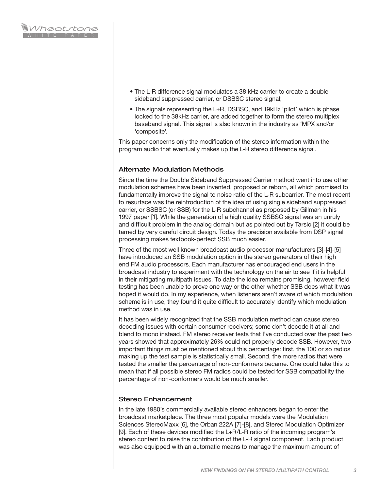- The L-R difference signal modulates a 38 kHz carrier to create a double sideband suppressed carrier, or DSBSC stereo signal;
- The signals representing the L+R, DSBSC, and 19kHz 'pilot' which is phase locked to the 38kHz carrier, are added together to form the stereo multiplex baseband signal. This signal is also known in the industry as 'MPX and/or 'composite'.

This paper concerns only the modification of the stereo information within the program audio that eventually makes up the L-R stereo difference signal.

#### Alternate Modulation Methods

Since the time the Double Sideband Suppressed Carrier method went into use other modulation schemes have been invented, proposed or reborn, all which promised to fundamentally improve the signal to noise ratio of the L-R subcarrier. The most recent to resurface was the reintroduction of the idea of using single sideband suppressed carrier, or SSBSC (or SSB) for the L-R subchannel as proposed by Gillman in his 1997 paper [1]. While the generation of a high quality SSBSC signal was an unruly and difficult problem in the analog domain but as pointed out by Tarsio [2] it could be tamed by very careful circuit design. Today the precision available from DSP signal processing makes textbook-perfect SSB much easier.

Three of the most well known broadcast audio processor manufacturers [3]-[4]-[5] have introduced an SSB modulation option in the stereo generators of their high end FM audio processors. Each manufacturer has encouraged end users in the broadcast industry to experiment with the technology on the air to see if it is helpful in their mitigating multipath issues. To date the idea remains promising, however field testing has been unable to prove one way or the other whether SSB does what it was hoped it would do. In my experience, when listeners aren't aware of which modulation scheme is in use, they found it quite difficult to accurately identify which modulation method was in use.

It has been widely recognized that the SSB modulation method can cause stereo decoding issues with certain consumer receivers; some don't decode it at all and blend to mono instead. FM stereo receiver tests that I've conducted over the past two years showed that approximately 26% could not properly decode SSB. However, two important things must be mentioned about this percentage: first, the 100 or so radios making up the test sample is statistically small. Second, the more radios that were tested the smaller the percentage of non-conformers became. One could take this to mean that if all possible stereo FM radios could be tested for SSB compatibility the percentage of non-conformers would be much smaller.

## Stereo Enhancement

In the late 1980's commercially available stereo enhancers began to enter the broadcast marketplace. The three most popular models were the Modulation Sciences StereoMaxx [6], the Orban 222A [7]-[8], and Stereo Modulation Optimizer [9]. Each of these devices modified the L+R/L-R ratio of the incoming program's stereo content to raise the contribution of the L-R signal component. Each product was also equipped with an automatic means to manage the maximum amount of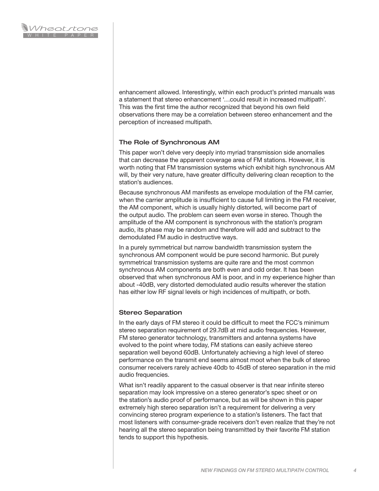enhancement allowed. Interestingly, within each product's printed manuals was a statement that stereo enhancement '…could result in increased multipath'. This was the first time the author recognized that beyond his own field observations there may be a correlation between stereo enhancement and the perception of increased multipath.

## The Role of Synchronous AM

This paper won't delve very deeply into myriad transmission side anomalies that can decrease the apparent coverage area of FM stations. However, it is worth noting that FM transmission systems which exhibit high synchronous AM will, by their very nature, have greater difficulty delivering clean reception to the station's audiences.

Because synchronous AM manifests as envelope modulation of the FM carrier, when the carrier amplitude is insufficient to cause full limiting in the FM receiver, the AM component, which is usually highly distorted, will become part of the output audio. The problem can seem even worse in stereo. Though the amplitude of the AM component is synchronous with the station's program audio, its phase may be random and therefore will add and subtract to the demodulated FM audio in destructive ways.

In a purely symmetrical but narrow bandwidth transmission system the synchronous AM component would be pure second harmonic. But purely symmetrical transmission systems are quite rare and the most common synchronous AM components are both even and odd order. It has been observed that when synchronous AM is poor, and in my experience higher than about -40dB, very distorted demodulated audio results wherever the station has either low RF signal levels or high incidences of multipath, or both.

## Stereo Separation

In the early days of FM stereo it could be difficult to meet the FCC's minimum stereo separation requirement of 29.7dB at mid audio frequencies. However, FM stereo generator technology, transmitters and antenna systems have evolved to the point where today, FM stations can easily achieve stereo separation well beyond 60dB. Unfortunately achieving a high level of stereo performance on the transmit end seems almost moot when the bulk of stereo consumer receivers rarely achieve 40db to 45dB of stereo separation in the mid audio frequencies.

What isn't readily apparent to the casual observer is that near infinite stereo separation may look impressive on a stereo generator's spec sheet or on the station's audio proof of performance, but as will be shown in this paper extremely high stereo separation isn't a requirement for delivering a very convincing stereo program experience to a station's listeners. The fact that most listeners with consumer-grade receivers don't even realize that they're not hearing all the stereo separation being transmitted by their favorite FM station tends to support this hypothesis.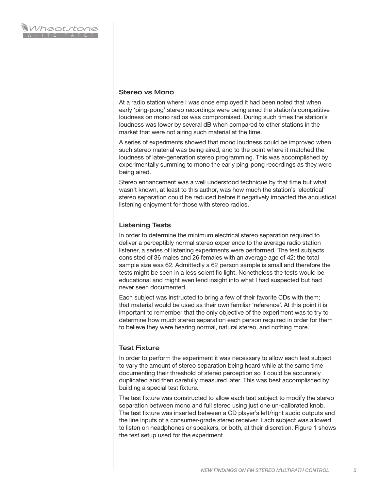#### Stereo vs Mono

At a radio station where I was once employed it had been noted that when early 'ping-pong' stereo recordings were being aired the station's competitive loudness on mono radios was compromised. During such times the station's loudness was lower by several dB when compared to other stations in the market that were not airing such material at the time.

A series of experiments showed that mono loudness could be improved when such stereo material was being aired, and to the point where it matched the loudness of later-generation stereo programming. This was accomplished by experimentally summing to mono the early ping-pong recordings as they were being aired.

Stereo enhancement was a well understood technique by that time but what wasn't known, at least to this author, was how much the station's 'electrical' stereo separation could be reduced before it negatively impacted the acoustical listening enjoyment for those with stereo radios.

## Listening Tests

In order to determine the minimum electrical stereo separation required to deliver a perceptibly normal stereo experience to the average radio station listener, a series of listening experiments were performed. The test subjects consisted of 36 males and 26 females with an average age of 42; the total sample size was 62. Admittedly a 62 person sample is small and therefore the tests might be seen in a less scientific light. Nonetheless the tests would be educational and might even lend insight into what I had suspected but had never seen documented.

Each subject was instructed to bring a few of their favorite CDs with them; that material would be used as their own familiar 'reference'. At this point it is important to remember that the only objective of the experiment was to try to determine how much stereo separation each person required in order for them to believe they were hearing normal, natural stereo, and nothing more.

## Test Fixture

In order to perform the experiment it was necessary to allow each test subject to vary the amount of stereo separation being heard while at the same time documenting their threshold of stereo perception so it could be accurately duplicated and then carefully measured later. This was best accomplished by building a special test fixture.

The test fixture was constructed to allow each test subject to modify the stereo separation between mono and full stereo using just one un-calibrated knob. The test fixture was inserted between a CD player's left/right audio outputs and the line inputs of a consumer-grade stereo receiver. Each subject was allowed to listen on headphones or speakers, or both, at their discretion. Figure 1 shows the test setup used for the experiment.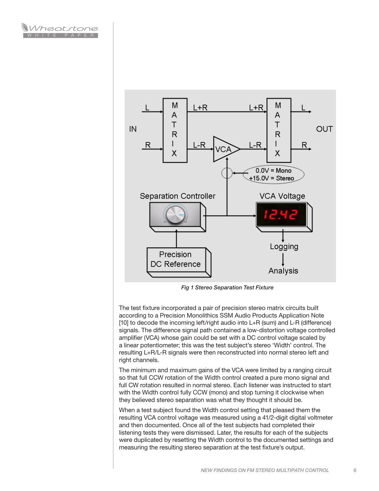



*Fig 1 Stereo Separation Test Fixture*

The test fixture incorporated a pair of precision stereo matrix circuits built according to a Precision Monolithics SSM Audio Products Application Note [10] to decode the incoming left/right audio into L+R (sum) and L-R (difference) signals. The difference signal path contained a low-distortion voltage controlled amplifier (VCA) whose gain could be set with a DC control voltage scaled by a linear potentiometer; this was the test subject's stereo 'Width' control. The resulting L+R/L-R signals were then reconstructed into normal stereo left and right channels.

The minimum and maximum gains of the VCA were limited by a ranging circuit so that full CCW rotation of the Width control created a pure mono signal and full CW rotation resulted in normal stereo. Each listener was instructed to start with the Width control fully CCW (mono) and stop turning it clockwise when they believed stereo separation was what they thought it should be.

When a test subject found the Width control setting that pleased them the resulting VCA control voltage was measured using a 41/2-digit digital voltmeter and then documented. Once all of the test subjects had completed their listening tests they were dismissed. Later, the results for each of the subjects were duplicated by resetting the Width control to the documented settings and measuring the resulting stereo separation at the test fixture's output.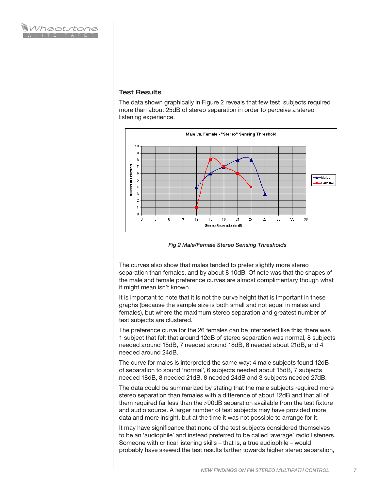#### Test Results

The data shown graphically in Figure 2 reveals that few test subjects required more than about 25dB of stereo separation in order to perceive a stereo listening experience.



*Fig 2 Male/Female Stereo Sensing Thresholds*

The curves also show that males tended to prefer slightly more stereo separation than females, and by about 8-10dB. Of note was that the shapes of the male and female preference curves are almost complimentary though what it might mean isn't known.

It is important to note that it is not the curve height that is important in these graphs (because the sample size is both small and not equal in males and females), but where the maximum stereo separation and greatest number of test subjects are clustered.

The preference curve for the 26 females can be interpreted like this; there was 1 subject that felt that around 12dB of stereo separation was normal, 8 subjects needed around 15dB, 7 needed around 18dB, 6 needed about 21dB, and 4 needed around 24dB.

The curve for males is interpreted the same way; 4 male subjects found 12dB of separation to sound 'normal', 6 subjects needed about 15dB, 7 subjects needed 18dB, 8 needed 21dB, 8 needed 24dB and 3 subjects needed 27dB.

The data could be summarized by stating that the male subjects required more stereo separation than females with a difference of about 12dB and that all of them required far less than the >90dB separation available from the test fixture and audio source. A larger number of test subjects may have provided more data and more insight, but at the time it was not possible to arrange for it.

It may have significance that none of the test subjects considered themselves to be an 'audiophile' and instead preferred to be called 'average' radio listeners. Someone with critical listening skills – that is, a true audiophile – would probably have skewed the test results farther towards higher stereo separation,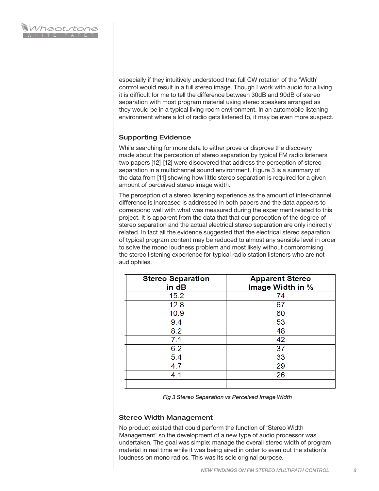especially if they intuitively understood that full CW rotation of the 'Width' control would result in a full stereo image. Though I work with audio for a living it is difficult for me to tell the difference between 30dB and 90dB of stereo separation with most program material using stereo speakers arranged as they would be in a typical living room environment. In an automobile listening environment where a lot of radio gets listened to, it may be even more suspect.

## Supporting Evidence

While searching for more data to either prove or disprove the discovery made about the perception of stereo separation by typical FM radio listeners two papers [12]-[12] were discovered that address the perception of stereo separation in a multichannel sound environment. Figure 3 is a summary of the data from [11] showing how little stereo separation is required for a given amount of perceived stereo image width.

The perception of a stereo listening experience as the amount of inter-channel difference is increased is addressed in both papers and the data appears to correspond well with what was measured during the experiment related to this project. It is apparent from the data that that our perception of the degree of stereo separation and the actual electrical stereo separation are only indirectly related. In fact all the evidence suggested that the electrical stereo separation of typical program content may be reduced to almost any sensible level in order to solve the mono loudness problem and most likely without compromising the stereo listening experience for typical radio station listeners who are not audiophiles.

| <b>Stereo Separation</b><br>in dB | <b>Apparent Stereo</b><br>Image Width in % |
|-----------------------------------|--------------------------------------------|
| 15.2                              | 74                                         |
| 12.8                              | 67                                         |
| 10.9                              | 60                                         |
| 9.4                               | 53                                         |
| 8.2                               | 48                                         |
| 7.1                               | 42                                         |
| 6.2                               | 37                                         |
| 5.4                               | 33                                         |
| 4.7                               | 29                                         |
| 4.1                               | 26                                         |
|                                   |                                            |

*Fig 3 Stereo Separation vs Perceived Image Width*

## Stereo Width Management

No product existed that could perform the function of 'Stereo Width Management' so the development of a new type of audio processor was undertaken. The goal was simple: manage the overall stereo width of program material in real time while it was being aired in order to even out the station's loudness on mono radios. This was its sole original purpose.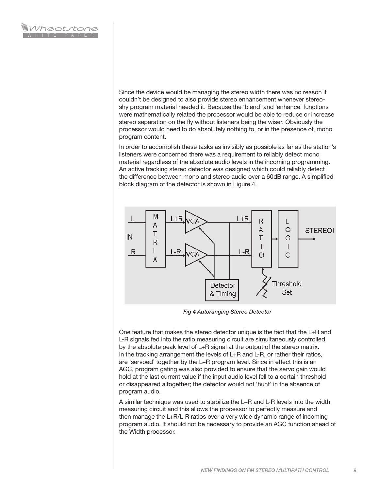Since the device would be managing the stereo width there was no reason it couldn't be designed to also provide stereo enhancement whenever stereoshy program material needed it. Because the 'blend' and 'enhance' functions were mathematically related the processor would be able to reduce or increase stereo separation on the fly without listeners being the wiser. Obviously the processor would need to do absolutely nothing to, or in the presence of, mono program content.

In order to accomplish these tasks as invisibly as possible as far as the station's listeners were concerned there was a requirement to reliably detect mono material regardless of the absolute audio levels in the incoming programming. An active tracking stereo detector was designed which could reliably detect the difference between mono and stereo audio over a 60dB range. A simplified block diagram of the detector is shown in Figure 4.



*Fig 4 Autoranging Stereo Detector*

One feature that makes the stereo detector unique is the fact that the L+R and L-R signals fed into the ratio measuring circuit are simultaneously controlled by the absolute peak level of L+R signal at the output of the stereo matrix. In the tracking arrangement the levels of L+R and L-R, or rather their ratios, are 'servoed' together by the L+R program level. Since in effect this is an AGC, program gating was also provided to ensure that the servo gain would hold at the last current value if the input audio level fell to a certain threshold or disappeared altogether; the detector would not 'hunt' in the absence of program audio.

A similar technique was used to stabilize the L+R and L-R levels into the width measuring circuit and this allows the processor to perfectly measure and then manage the L+R/L-R ratios over a very wide dynamic range of incoming program audio. It should not be necessary to provide an AGC function ahead of the Width processor.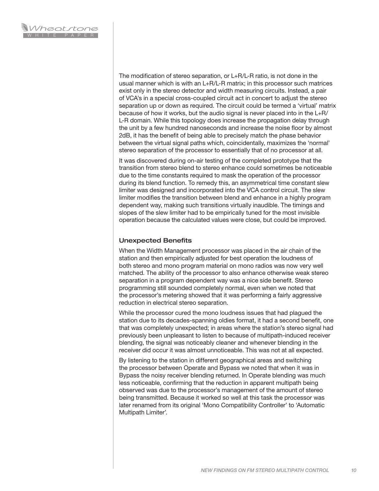The modification of stereo separation, or L+R/L-R ratio, is not done in the usual manner which is with an L+R/L-R matrix; in this processor such matrices exist only in the stereo detector and width measuring circuits. Instead, a pair of VCA's in a special cross-coupled circuit act in concert to adjust the stereo separation up or down as required. The circuit could be termed a 'virtual' matrix because of how it works, but the audio signal is never placed into in the L+R/ L-R domain. While this topology does increase the propagation delay through the unit by a few hundred nanoseconds and increase the noise floor by almost 2dB, it has the benefit of being able to precisely match the phase behavior between the virtual signal paths which, coincidentally, maximizes the 'normal' stereo separation of the processor to essentially that of no processor at all.

It was discovered during on-air testing of the completed prototype that the transition from stereo blend to stereo enhance could sometimes be noticeable due to the time constants required to mask the operation of the processor during its blend function. To remedy this, an asymmetrical time constant slew limiter was designed and incorporated into the VCA control circuit. The slew limiter modifies the transition between blend and enhance in a highly program dependent way, making such transitions virtually inaudible. The timings and slopes of the slew limiter had to be empirically tuned for the most invisible operation because the calculated values were close, but could be improved.

#### Unexpected Benefits

When the Width Management processor was placed in the air chain of the station and then empirically adjusted for best operation the loudness of both stereo and mono program material on mono radios was now very well matched. The ability of the processor to also enhance otherwise weak stereo separation in a program dependent way was a nice side benefit. Stereo programming still sounded completely normal, even when we noted that the processor's metering showed that it was performing a fairly aggressive reduction in electrical stereo separation.

While the processor cured the mono loudness issues that had plagued the station due to its decades-spanning oldies format, it had a second benefit, one that was completely unexpected; in areas where the station's stereo signal had previously been unpleasant to listen to because of multipath-induced receiver blending, the signal was noticeably cleaner and whenever blending in the receiver did occur it was almost unnoticeable. This was not at all expected.

By listening to the station in different geographical areas and switching the processor between Operate and Bypass we noted that when it was in Bypass the noisy receiver blending returned. In Operate blending was much less noticeable, confirming that the reduction in apparent multipath being observed was due to the processor's management of the amount of stereo being transmitted. Because it worked so well at this task the processor was later renamed from its original 'Mono Compatibility Controller' to 'Automatic Multipath Limiter'.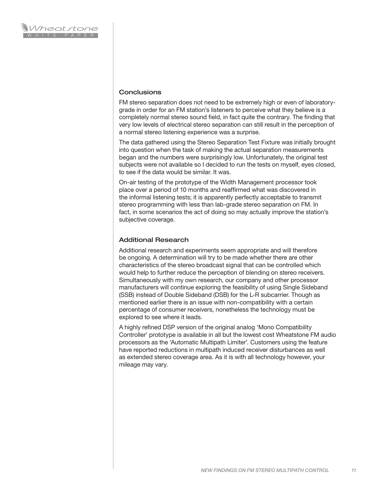#### **Conclusions**

FM stereo separation does not need to be extremely high or even of laboratorygrade in order for an FM station's listeners to perceive what they believe is a completely normal stereo sound field, in fact quite the contrary. The finding that very low levels of electrical stereo separation can still result in the perception of a normal stereo listening experience was a surprise.

The data gathered using the Stereo Separation Test Fixture was initially brought into question when the task of making the actual separation measurements began and the numbers were surprisingly low. Unfortunately, the original test subjects were not available so I decided to run the tests on myself, eyes closed, to see if the data would be similar. It was.

On-air testing of the prototype of the Width Management processor took place over a period of 10 months and reaffirmed what was discovered in the informal listening tests; it is apparently perfectly acceptable to transmit stereo programming with less than lab-grade stereo separation on FM. In fact, in some scenarios the act of doing so may actually improve the station's subjective coverage.

#### Additional Research

Additional research and experiments seem appropriate and will therefore be ongoing. A determination will try to be made whether there are other characteristics of the stereo broadcast signal that can be controlled which would help to further reduce the perception of blending on stereo receivers. Simultaneously with my own research, our company and other processor manufacturers will continue exploring the feasibility of using Single Sideband (SSB) instead of Double Sideband (DSB) for the L-R subcarrier. Though as mentioned earlier there is an issue with non-compatibility with a certain percentage of consumer receivers, nonetheless the technology must be explored to see where it leads.

A highly refined DSP version of the original analog 'Mono Compatibility Controller' prototype is available in all but the lowest cost Wheatstone FM audio processors as the 'Automatic Multipath Limiter'. Customers using the feature have reported reductions in multipath induced receiver disturbances as well as extended stereo coverage area. As it is with all technology however, your mileage may vary.